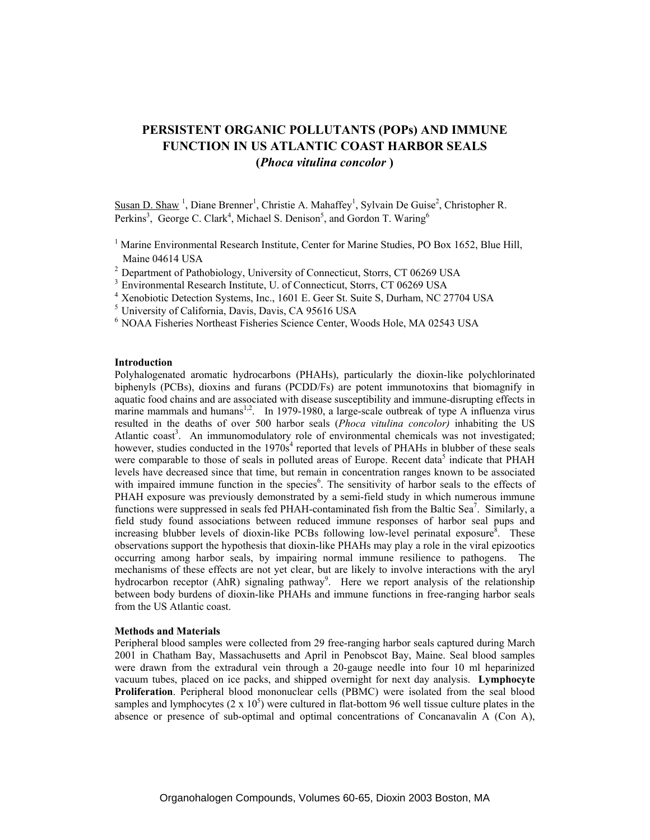# **PERSISTENT ORGANIC POLLUTANTS (POPs) AND IMMUNE FUNCTION IN US ATLANTIC COAST HARBOR SEALS (***Phoca vitulina concolor* **)**

Susan D. Shaw<sup>1</sup>, Diane Brenner<sup>1</sup>, Christie A. Mahaffey<sup>1</sup>, Sylvain De Guise<sup>2</sup>, Christopher R. Perkins<sup>3</sup>, George C. Clark<sup>4</sup>, Michael S. Denison<sup>5</sup>, and Gordon T. Waring<sup>6</sup>

- <sup>1</sup> Marine Environmental Research Institute, Center for Marine Studies, PO Box 1652, Blue Hill, Maine 04614 USA
- <sup>2</sup> Department of Pathobiology, University of Connecticut, Storrs, CT 06269 USA
- <sup>3</sup> Environmental Research Institute, U. of Connecticut, Storrs, CT 06269 USA
- 4 Xenobiotic Detection Systems, Inc., 1601 E. Geer St. Suite S, Durham, NC 27704 USA
- 5 University of California, Davis, Davis, CA 95616 USA
- 6 NOAA Fisheries Northeast Fisheries Science Center, Woods Hole, MA 02543 USA

## **Introduction**

Polyhalogenated aromatic hydrocarbons (PHAHs), particularly the dioxin-like polychlorinated biphenyls (PCBs), dioxins and furans (PCDD/Fs) are potent immunotoxins that biomagnify in aquatic food chains and are associated with disease susceptibility and immune-disrupting effects in marine mammals and humans<sup>1,2</sup>. In 1979-1980, a large-scale outbreak of type A influenza virus resulted in the deaths of over 500 harbor seals (*Phoca vitulina concolor)* inhabiting the US Atlantic coast<sup>3</sup>. An immunomodulatory role of environmental chemicals was not investigated; however, studies conducted in the 1970s<sup>4</sup> reported that levels of PHAHs in blubber of these seals were comparable to those of seals in polluted areas of Europe. Recent data<sup>5</sup> indicate that PHAH levels have decreased since that time, but remain in concentration ranges known to be associated with impaired immune function in the species<sup>6</sup>. The sensitivity of harbor seals to the effects of PHAH exposure was previously demonstrated by a semi-field study in which numerous immune functions were suppressed in seals fed PHAH-contaminated fish from the Baltic Sea<sup>7</sup>. Similarly, a field study found associations between reduced immune responses of harbor seal pups and increasing blubber levels of dioxin-like PCBs following low-level perinatal exposure $\delta$ . These observations support the hypothesis that dioxin-like PHAHs may play a role in the viral epizootics occurring among harbor seals, by impairing normal immune resilience to pathogens. The mechanisms of these effects are not yet clear, but are likely to involve interactions with the aryl hydrocarbon receptor (AhR) signaling pathway<sup>9</sup>. Here we report analysis of the relationship between body burdens of dioxin-like PHAHs and immune functions in free-ranging harbor seals from the US Atlantic coast.

## **Methods and Materials**

Peripheral blood samples were collected from 29 free-ranging harbor seals captured during March 2001 in Chatham Bay, Massachusetts and April in Penobscot Bay, Maine. Seal blood samples were drawn from the extradural vein through a 20-gauge needle into four 10 ml heparinized vacuum tubes, placed on ice packs, and shipped overnight for next day analysis. **Lymphocyte Proliferation**. Peripheral blood mononuclear cells (PBMC) were isolated from the seal blood samples and lymphocytes  $(2 \times 10^5)$  were cultured in flat-bottom 96 well tissue culture plates in the absence or presence of sub-optimal and optimal concentrations of Concanavalin A (Con A),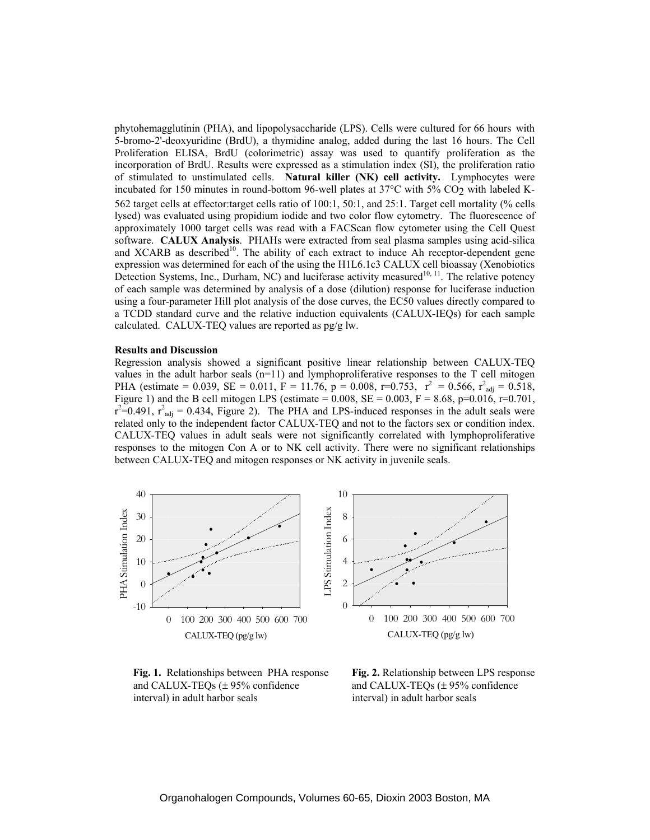phytohemagglutinin (PHA), and lipopolysaccharide (LPS). Cells were cultured for 66 hours with 5-bromo-2'-deoxyuridine (BrdU), a thymidine analog, added during the last 16 hours. The Cell Proliferation ELISA, BrdU (colorimetric) assay was used to quantify proliferation as the incorporation of BrdU. Results were expressed as a stimulation index (SI), the proliferation ratio of stimulated to unstimulated cells. **Natural killer (NK) cell activity.** Lymphocytes were incubated for 150 minutes in round-bottom 96-well plates at 37°C with 5% CO<sub>2</sub> with labeled K-562 target cells at effector:target cells ratio of 100:1, 50:1, and 25:1. Target cell mortality (% cells lysed) was evaluated using propidium iodide and two color flow cytometry. The fluorescence of approximately 1000 target cells was read with a FACScan flow cytometer using the Cell Quest software. **CALUX Analysis**. PHAHs were extracted from seal plasma samples using acid-silica and XCARB as described<sup>10</sup>. The ability of each extract to induce Ah receptor-dependent gene expression was determined for each of the using the H1L6.1c3 CALUX cell bioassay (Xenobiotics Detection Systems, Inc., Durham, NC) and luciferase activity measured<sup>10, 11</sup>. The relative potency of each sample was determined by analysis of a dose (dilution) response for luciferase induction using a four-parameter Hill plot analysis of the dose curves, the EC50 values directly compared to a TCDD standard curve and the relative induction equivalents (CALUX-IEQs) for each sample calculated. CALUX-TEQ values are reported as pg/g lw.

### **Results and Discussion**

Regression analysis showed a significant positive linear relationship between CALUX-TEQ values in the adult harbor seals  $(n=11)$  and lymphoproliferative responses to the T cell mitogen PHA (estimate = 0.039, SE = 0.011, F = 11.76, p = 0.008, r=0.753,  $r^2 = 0.566$ ,  $r^2_{\text{adj}} = 0.518$ , Figure 1) and the B cell mitogen LPS (estimate =  $0.008$ , SE =  $0.003$ , F =  $8.68$ , p= $0.016$ , r= $0.701$ ,  $r^2=0.491$ ,  $r^2$ <sub>adj</sub> = 0.434, Figure 2). The PHA and LPS-induced responses in the adult seals were related only to the independent factor CALUX-TEQ and not to the factors sex or condition index. CALUX-TEQ values in adult seals were not significantly correlated with lymphoproliferative responses to the mitogen Con A or to NK cell activity. There were no significant relationships between CALUX-TEQ and mitogen responses or NK activity in juvenile seals.



 and CALUX-TEQs (± 95% confidence and CALUX-TEQs (± 95% confidence interval) in adult harbor seals interval) in adult harbor seals

 **Fig. 1.** Relationships between PHA response **Fig. 2.** Relationship between LPS response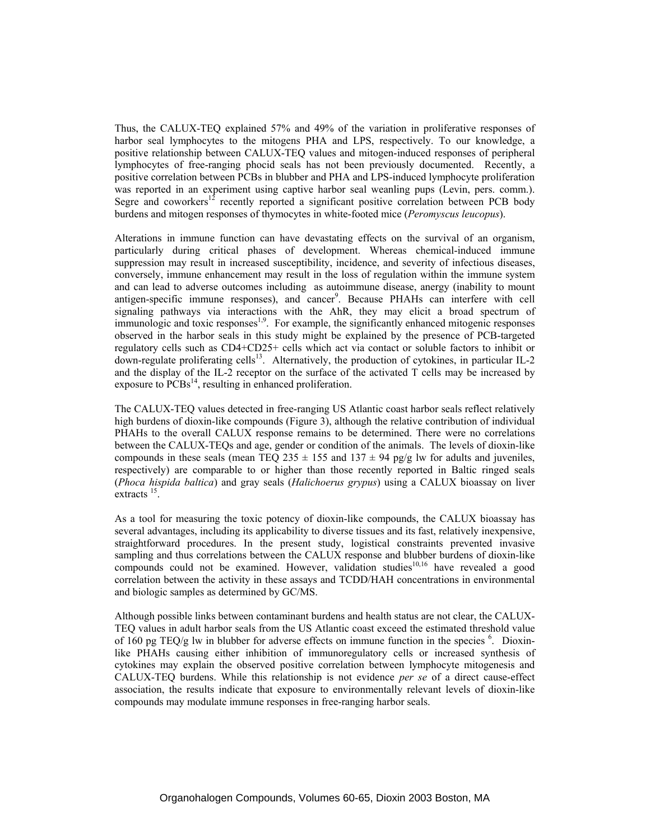Thus, the CALUX-TEQ explained 57% and 49% of the variation in proliferative responses of harbor seal lymphocytes to the mitogens PHA and LPS, respectively. To our knowledge, a positive relationship between CALUX-TEQ values and mitogen-induced responses of peripheral lymphocytes of free-ranging phocid seals has not been previously documented. Recently, a positive correlation between PCBs in blubber and PHA and LPS-induced lymphocyte proliferation was reported in an experiment using captive harbor seal weanling pups (Levin, pers. comm.). Segre and coworkers<sup>12</sup> recently reported a significant positive correlation between PCB body burdens and mitogen responses of thymocytes in white-footed mice (*Peromyscus leucopus*).

Alterations in immune function can have devastating effects on the survival of an organism, particularly during critical phases of development. Whereas chemical-induced immune suppression may result in increased susceptibility, incidence, and severity of infectious diseases, conversely, immune enhancement may result in the loss of regulation within the immune system and can lead to adverse outcomes including as autoimmune disease, anergy (inability to mount antigen-specific immune responses), and cancer 9 . Because PHAHs can interfere with cell signaling pathways via interactions with the AhR, they may elicit a broad spectrum of immunologic and toxic responses<sup>1,9</sup>. For example, the significantly enhanced mitogenic responses observed in the harbor seals in this study might be explained by the presence of PCB-targeted regulatory cells such as CD4+CD25+ cells which act via contact or soluble factors to inhibit or down-regulate proliferating cells<sup>13</sup>. Alternatively, the production of cytokines, in particular IL-2 and the display of the IL-2 receptor on the surface of the activated T cells may be increased by exposure to PCBs<sup>14</sup>, resulting in enhanced proliferation.

The CALUX-TEQ values detected in free-ranging US Atlantic coast harbor seals reflect relatively high burdens of dioxin-like compounds (Figure 3), although the relative contribution of individual PHAHs to the overall CALUX response remains to be determined. There were no correlations between the CALUX-TEQs and age, gender or condition of the animals. The levels of dioxin-like compounds in these seals (mean TEQ 235  $\pm$  155 and 137  $\pm$  94 pg/g lw for adults and juveniles, respectively) are comparable to or higher than those recently reported in Baltic ringed seals (*Phoca hispida baltica*) and gray seals (*Halichoerus grypus*) using a CALUX bioassay on liver extracts<sup>15</sup>.

As a tool for measuring the toxic potency of dioxin-like compounds, the CALUX bioassay has several advantages, including its applicability to diverse tissues and its fast, relatively inexpensive, straightforward procedures. In the present study, logistical constraints prevented invasive sampling and thus correlations between the CALUX response and blubber burdens of dioxin-like compounds could not be examined. However, validation studies $10,16$  have revealed a good correlation between the activity in these assays and TCDD/HAH concentrations in environmental and biologic samples as determined by GC/MS.

Although possible links between contaminant burdens and health status are not clear, the CALUX-TEQ values in adult harbor seals from the US Atlantic coast exceed the estimated threshold value of 160 pg TEQ/g lw in blubber for adverse effects on immune function in the species <sup>6</sup>. Dioxinlike PHAHs causing either inhibition of immunoregulatory cells or increased synthesis of cytokines may explain the observed positive correlation between lymphocyte mitogenesis and CALUX-TEQ burdens. While this relationship is not evidence *per se* of a direct cause-effect association, the results indicate that exposure to environmentally relevant levels of dioxin-like compounds may modulate immune responses in free-ranging harbor seals.